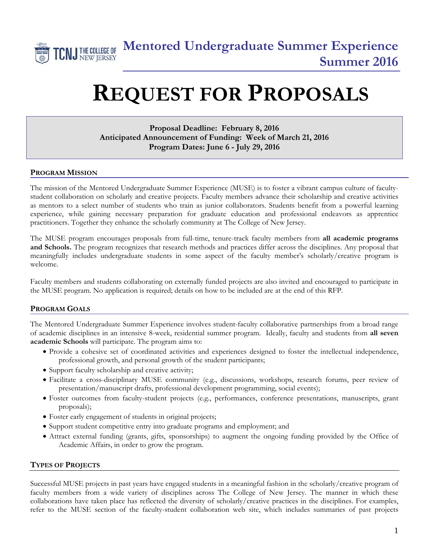

# **REQUEST FOR PROPOSALS**

### **Proposal Deadline: February 8, 2016 Anticipated Announcement of Funding: Week of March 21, 2016 Program Dates: June 6 - July 29, 2016**

#### **PROGRAM MISSION**

The mission of the Mentored Undergraduate Summer Experience (MUSE) is to foster a vibrant campus culture of facultystudent collaboration on scholarly and creative projects. Faculty members advance their scholarship and creative activities as mentors to a select number of students who train as junior collaborators. Students benefit from a powerful learning experience, while gaining necessary preparation for graduate education and professional endeavors as apprentice practitioners. Together they enhance the scholarly community at The College of New Jersey.

The MUSE program encourages proposals from full-time, tenure-track faculty members from **all academic programs and Schools.** The program recognizes that research methods and practices differ across the disciplines. Any proposal that meaningfully includes undergraduate students in some aspect of the faculty member's scholarly/creative program is welcome.

Faculty members and students collaborating on externally funded projects are also invited and encouraged to participate in the MUSE program. No application is required; details on how to be included are at the end of this RFP.

#### **PROGRAM GOALS**

The Mentored Undergraduate Summer Experience involves student-faculty collaborative partnerships from a broad range of academic disciplines in an intensive 8-week, residential summer program. Ideally, faculty and students from **all seven academic Schools** will participate. The program aims to:

- Provide a cohesive set of coordinated activities and experiences designed to foster the intellectual independence, professional growth, and personal growth of the student participants;
- Support faculty scholarship and creative activity;
- Facilitate a cross-disciplinary MUSE community (e.g., discussions, workshops, research forums, peer review of presentation/manuscript drafts, professional development programming, social events);
- Foster outcomes from faculty-student projects (e.g., performances, conference presentations, manuscripts, grant proposals);
- Foster early engagement of students in original projects;
- Support student competitive entry into graduate programs and employment; and
- Attract external funding (grants, gifts, sponsorships) to augment the ongoing funding provided by the Office of Academic Affairs, in order to grow the program.

#### **TYPES OF PROJECTS**

Successful MUSE projects in past years have engaged students in a meaningful fashion in the scholarly/creative program of faculty members from a wide variety of disciplines across The College of New Jersey. The manner in which these collaborations have taken place has reflected the diversity of scholarly/creative practices in the disciplines. For examples, refer to the MUSE section of the faculty-student collaboration web site, which includes summaries of past projects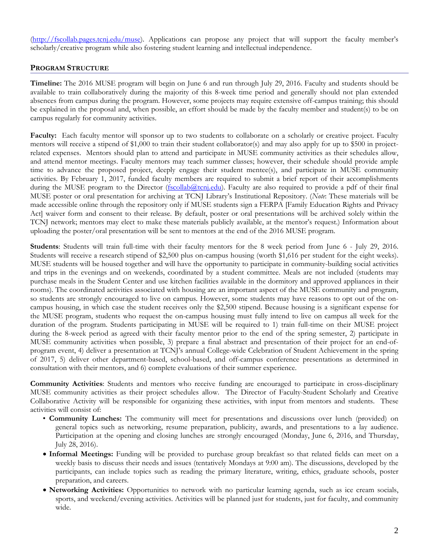(http://fscollab.pages.tcnj.edu/muse). Applications can propose any project that will support the faculty member's scholarly/creative program while also fostering student learning and intellectual independence.

#### **PROGRAM STRUCTURE**

**Timeline:** The 2016 MUSE program will begin on June 6 and run through July 29, 2016. Faculty and students should be available to train collaboratively during the majority of this 8-week time period and generally should not plan extended absences from campus during the program. However, some projects may require extensive off-campus training; this should be explained in the proposal and, when possible, an effort should be made by the faculty member and student(s) to be on campus regularly for community activities.

**Faculty:** Each faculty mentor will sponsor up to two students to collaborate on a scholarly or creative project. Faculty mentors will receive a stipend of \$1,000 to train their student collaborator(s) and may also apply for up to \$500 in projectrelated expenses. Mentors should plan to attend and participate in MUSE community activities as their schedules allow, and attend mentor meetings. Faculty mentors may teach summer classes; however, their schedule should provide ample time to advance the proposed project, deeply engage their student mentee(s), and participate in MUSE community activities. By February 1, 2017, funded faculty members are required to submit a brief report of their accomplishments during the MUSE program to the Director (fscollab@tcnj.edu). Faculty are also required to provide a pdf of their final MUSE poster or oral presentation for archiving at TCNJ Library's Institutional Repository. (*Note*: These materials will be made accessible online through the repository only if MUSE students sign a FERPA [Family Education Rights and Privacy Act] waiver form and consent to their release. By default, poster or oral presentations will be archived solely within the TCNJ network; mentors may elect to make these materials publicly available, at the mentor's request.) Information about uploading the poster/oral presentation will be sent to mentors at the end of the 2016 MUSE program.

**Students**: Students will train full-time with their faculty mentors for the 8 week period from June 6 - July 29, 2016. Students will receive a research stipend of \$2,500 plus on-campus housing (worth \$1,616 per student for the eight weeks). MUSE students will be housed together and will have the opportunity to participate in community-building social activities and trips in the evenings and on weekends, coordinated by a student committee. Meals are not included (students may purchase meals in the Student Center and use kitchen facilities available in the dormitory and approved appliances in their rooms). The coordinated activities associated with housing are an important aspect of the MUSE community and program, so students are strongly encouraged to live on campus. However, some students may have reasons to opt out of the oncampus housing, in which case the student receives only the \$2,500 stipend. Because housing is a significant expense for the MUSE program, students who request the on-campus housing must fully intend to live on campus all week for the duration of the program. Students participating in MUSE will be required to 1) train full-time on their MUSE project during the 8-week period as agreed with their faculty mentor prior to the end of the spring semester, 2) participate in MUSE community activities when possible, 3) prepare a final abstract and presentation of their project for an end-ofprogram event, 4) deliver a presentation at TCNJ's annual College-wide Celebration of Student Achievement in the spring of 2017, 5) deliver other department-based, school-based, and off-campus conference presentations as determined in consultation with their mentors, and 6) complete evaluations of their summer experience.

**Community Activities**: Students and mentors who receive funding are encouraged to participate in cross-disciplinary MUSE community activities as their project schedules allow. The Director of Faculty-Student Scholarly and Creative Collaborative Activity will be responsible for organizing these activities, with input from mentors and students. These activities will consist of:

- **Community Lunches:** The community will meet for presentations and discussions over lunch (provided) on general topics such as networking, resume preparation, publicity, awards, and presentations to a lay audience. Participation at the opening and closing lunches are strongly encouraged (Monday, June 6, 2016, and Thursday, July 28, 2016).
- **Informal Meetings:** Funding will be provided to purchase group breakfast so that related fields can meet on a weekly basis to discuss their needs and issues (tentatively Mondays at 9:00 am). The discussions, developed by the participants, can include topics such as reading the primary literature, writing, ethics, graduate schools, poster preparation, and careers.
- **Networking Activities:** Opportunities to network with no particular learning agenda, such as ice cream socials, sports, and weekend/evening activities. Activities will be planned just for students, just for faculty, and community wide.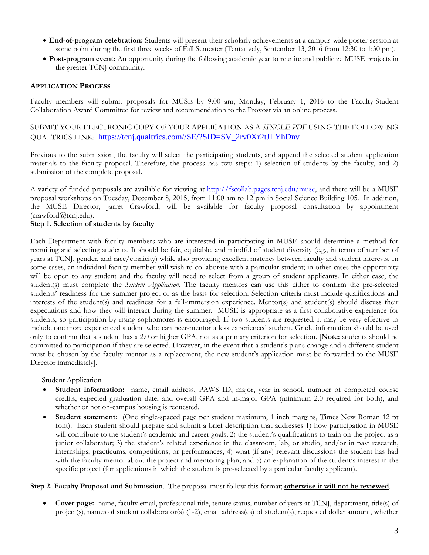- **End-of-program celebration:** Students will present their scholarly achievements at a campus-wide poster session at some point during the first three weeks of Fall Semester (Tentatively, September 13, 2016 from 12:30 to 1:30 pm).
- **Post-program event:** An opportunity during the following academic year to reunite and publicize MUSE projects in the greater TCNJ community.

#### **APPLICATION PROCESS**

Faculty members will submit proposals for MUSE by 9:00 am, Monday, February 1, 2016 to the Faculty-Student Collaboration Award Committee for review and recommendation to the Provost via an online process.

SUBMIT YOUR ELECTRONIC COPY OF YOUR APPLICATION AS A *SINGLE PDF* USING THE FOLLOWING QUALTRICS LINK: https://tcnj.qualtrics.com//SE/?SID=SV\_2rv0Xr2tJLYhDnv

Previous to the submission, the faculty will select the participating students, and append the selected student application materials to the faculty proposal. Therefore, the process has two steps: 1) selection of students by the faculty, and 2) submission of the complete proposal.

A variety of funded proposals are available for viewing at http://fscollab.pages.tcnj.edu/muse, and there will be a MUSE proposal workshops on Tuesday, December 8, 2015, from 11:00 am to 12 pm in Social Science Building 105. In addition, the MUSE Director, Jarret Crawford, will be available for faculty proposal consultation by appointment (crawford@tcnj.edu).

#### **Step 1. Selection of students by faculty**

Each Department with faculty members who are interested in participating in MUSE should determine a method for recruiting and selecting students. It should be fair, equitable, and mindful of student diversity (e.g., in terms of number of years at TCNJ, gender, and race/ethnicity) while also providing excellent matches between faculty and student interests. In some cases, an individual faculty member will wish to collaborate with a particular student; in other cases the opportunity will be open to any student and the faculty will need to select from a group of student applicants. In either case, the student(s) must complete the *Student Application*. The faculty mentors can use this either to confirm the pre-selected students' readiness for the summer project or as the basis for selection. Selection criteria must include qualifications and interests of the student(s) and readiness for a full-immersion experience. Mentor(s) and student(s) should discuss their expectations and how they will interact during the summer. MUSE is appropriate as a first collaborative experience for students, so participation by rising sophomores is encouraged. If two students are requested, it may be very effective to include one more experienced student who can peer-mentor a less experienced student. Grade information should be used only to confirm that a student has a 2.0 or higher GPA, not as a primary criterion for selection. [**Note:** students should be committed to participation if they are selected. However, in the event that a student's plans change and a different student must be chosen by the faculty mentor as a replacement, the new student's application must be forwarded to the MUSE Director immediately].

**Student Application** 

- **Student information:** name, email address, PAWS ID, major, year in school, number of completed course credits, expected graduation date, and overall GPA and in-major GPA (minimum 2.0 required for both), and whether or not on-campus housing is requested.
- **Student statement:** (One single-spaced page per student maximum, 1 inch margins, Times New Roman 12 pt font).Each student should prepare and submit a brief description that addresses 1) how participation in MUSE will contribute to the student's academic and career goals; 2) the student's qualifications to train on the project as a junior collaborator; 3) the student's related experience in the classroom, lab, or studio, and/or in past research, internships, practicums, competitions, or performances, 4) what (if any) relevant discussions the student has had with the faculty mentor about the project and mentoring plan; and 5) an explanation of the student's interest in the specific project (for applications in which the student is pre-selected by a particular faculty applicant).

#### **Step 2. Faculty Proposal and Submission**. The proposal must follow this format; **otherwise it will not be reviewed**.

 **Cover page:** name, faculty email, professional title, tenure status, number of years at TCNJ, department, title(s) of project(s), names of student collaborator(s) (1-2), email address(es) of student(s), requested dollar amount, whether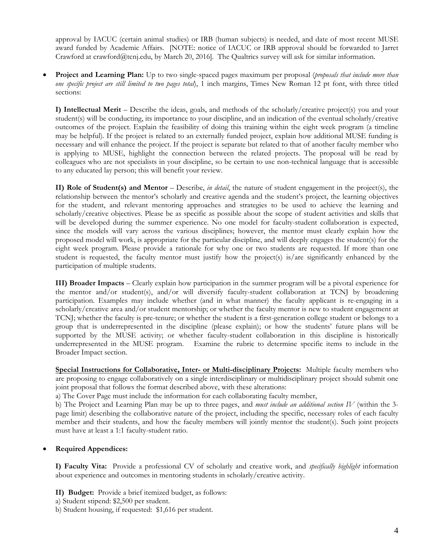approval by IACUC (certain animal studies) or IRB (human subjects) is needed, and date of most recent MUSE award funded by Academic Affairs. [NOTE: notice of IACUC or IRB approval should be forwarded to Jarret Crawford at crawford@tcnj.edu, by March 20, 2016]. The Qualtrics survey will ask for similar information.

 **Project and Learning Plan:** Up to two single-spaced pages maximum per proposal (*proposals that include more than one specific project are still limited to two pages total*), 1 inch margins, Times New Roman 12 pt font, with three titled sections:

**I) Intellectual Merit** – Describe the ideas, goals, and methods of the scholarly/creative project(s) you and your student(s) will be conducting, its importance to your discipline, and an indication of the eventual scholarly/creative outcomes of the project. Explain the feasibility of doing this training within the eight week program (a timeline may be helpful). If the project is related to an externally funded project, explain how additional MUSE funding is necessary and will enhance the project. If the project is separate but related to that of another faculty member who is applying to MUSE, highlight the connection between the related projects. The proposal will be read by colleagues who are not specialists in your discipline, so be certain to use non-technical language that is accessible to any educated lay person; this will benefit your review.

**II) Role of Student(s) and Mentor** – Describe, *in detail*, the nature of student engagement in the project(s), the relationship between the mentor's scholarly and creative agenda and the student's project, the learning objectives for the student, and relevant mentoring approaches and strategies to be used to achieve the learning and scholarly/creative objectives. Please be as specific as possible about the scope of student activities and skills that will be developed during the summer experience. No one model for faculty-student collaboration is expected, since the models will vary across the various disciplines; however, the mentor must clearly explain how the proposed model will work, is appropriate for the particular discipline, and will deeply engages the student(s) for the eight week program. Please provide a rationale for why one or two students are requested. If more than one student is requested, the faculty mentor must justify how the project(s) is/are significantly enhanced by the participation of multiple students.

**III) Broader Impacts** – Clearly explain how participation in the summer program will be a pivotal experience for the mentor and/or student(s), and/or will diversify faculty-student collaboration at TCNJ by broadening participation. Examples may include whether (and in what manner) the faculty applicant is re-engaging in a scholarly/creative area and/or student mentorship; or whether the faculty mentor is new to student engagement at TCNJ; whether the faculty is pre-tenure; or whether the student is a first-generation college student or belongs to a group that is underrepresented in the discipline (please explain); or how the students' future plans will be supported by the MUSE activity; or whether faculty-student collaboration in this discipline is historically underrepresented in the MUSE program. Examine the rubric to determine specific items to include in the Broader Impact section.

**Special Instructions for Collaborative, Inter- or Multi-disciplinary Projects:** Multiple faculty members who are proposing to engage collaboratively on a single interdisciplinary or multidisciplinary project should submit one joint proposal that follows the format described above, with these alterations:

a) The Cover Page must include the information for each collaborating faculty member,

b) The Project and Learning Plan may be up to three pages, and *must include an additional section IV* (within the 3 page limit) describing the collaborative nature of the project, including the specific, necessary roles of each faculty member and their students, and how the faculty members will jointly mentor the student(s). Such joint projects must have at least a 1:1 faculty-student ratio.

**Required Appendices:** 

**I) Faculty Vita:** Provide a professional CV of scholarly and creative work, and *specifically highlight* information about experience and outcomes in mentoring students in scholarly/creative activity.

**II) Budget:** Provide a brief itemized budget, as follows:

- a) Student stipend: \$2,500 per student.
- b) Student housing, if requested: \$1,616 per student.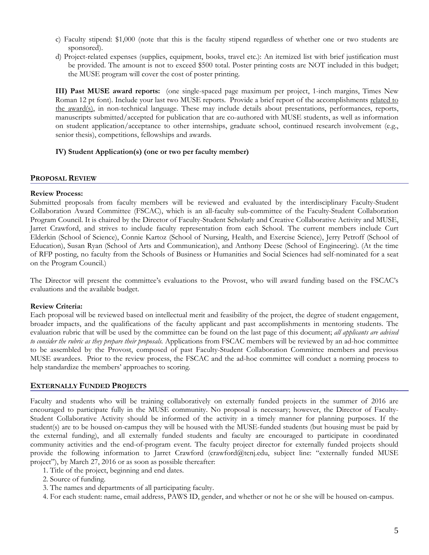- c) Faculty stipend: \$1,000 (note that this is the faculty stipend regardless of whether one or two students are sponsored).
- d) Project-related expenses (supplies, equipment, books, travel etc.): An itemized list with brief justification must be provided. The amount is not to exceed \$500 total. Poster printing costs are NOT included in this budget; the MUSE program will cover the cost of poster printing.

**III) Past MUSE award reports:** (one single-spaced page maximum per project, 1-inch margins, Times New Roman 12 pt font). Include your last two MUSE reports. Provide a brief report of the accomplishments related to the award(s), in non-technical language. These may include details about presentations, performances, reports, manuscripts submitted/accepted for publication that are co-authored with MUSE students, as well as information on student application/acceptance to other internships, graduate school, continued research involvement (e.g., senior thesis), competitions, fellowships and awards.

#### **IV) Student Application(s) (one or two per faculty member)**

#### **PROPOSAL REVIEW**

#### **Review Process:**

Submitted proposals from faculty members will be reviewed and evaluated by the interdisciplinary Faculty-Student Collaboration Award Committee (FSCAC), which is an all-faculty sub-committee of the Faculty-Student Collaboration Program Council. It is chaired by the Director of Faculty-Student Scholarly and Creative Collaborative Activity and MUSE, Jarret Crawford, and strives to include faculty representation from each School. The current members include Curt Elderkin (School of Science), Connie Kartoz (School of Nursing, Health, and Exercise Science), Jerry Petroff (School of Education), Susan Ryan (School of Arts and Communication), and Anthony Deese (School of Engineering). (At the time of RFP posting, no faculty from the Schools of Business or Humanities and Social Sciences had self-nominated for a seat on the Program Council.)

The Director will present the committee's evaluations to the Provost, who will award funding based on the FSCAC's evaluations and the available budget.

#### **Review Criteria:**

Each proposal will be reviewed based on intellectual merit and feasibility of the project, the degree of student engagement, broader impacts, and the qualifications of the faculty applicant and past accomplishments in mentoring students. The evaluation rubric that will be used by the committee can be found on the last page of this document; *all applicants are advised to consider the rubric as they prepare their proposals.* Applications from FSCAC members will be reviewed by an ad-hoc committee to be assembled by the Provost, composed of past Faculty-Student Collaboration Committee members and previous MUSE awardees. Prior to the review process, the FSCAC and the ad-hoc committee will conduct a norming process to help standardize the members' approaches to scoring.

#### **EXTERNALLY FUNDED PROJECTS**

Faculty and students who will be training collaboratively on externally funded projects in the summer of 2016 are encouraged to participate fully in the MUSE community. No proposal is necessary; however, the Director of Faculty-Student Collaborative Activity should be informed of the activity in a timely manner for planning purposes. If the student(s) are to be housed on-campus they will be housed with the MUSE-funded students (but housing must be paid by the external funding), and all externally funded students and faculty are encouraged to participate in coordinated community activities and the end-of-program event. The faculty project director for externally funded projects should provide the following information to Jarret Crawford (crawford@tcnj.edu, subject line: "externally funded MUSE project"), by March 27, 2016 or as soon as possible thereafter:

- 1. Title of the project, beginning and end dates.
- 2. Source of funding.
- 3. The names and departments of all participating faculty.
- 4. For each student: name, email address, PAWS ID, gender, and whether or not he or she will be housed on-campus.